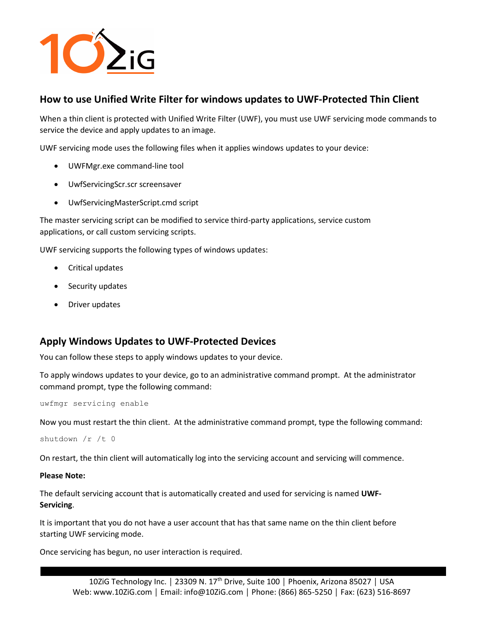

## How to use Unified Write Filter for windows updates to UWF-Protected Thin Client

When a thin client is protected with Unified Write Filter (UWF), you must use UWF servicing mode commands to service the device and apply updates to an image.

UWF servicing mode uses the following files when it applies windows updates to your device:

- UWFMgr.exe command-line tool
- UwfServicingScr.scr screensaver
- UwfServicingMasterScript.cmd script

The master servicing script can be modified to service third-party applications, service custom applications, or call custom servicing scripts.

UWF servicing supports the following types of windows updates:

- Critical updates
- Security updates
- Driver updates

## Apply Windows Updates to UWF-Protected Devices

You can follow these steps to apply windows updates to your device.

To apply windows updates to your device, go to an administrative command prompt. At the administrator command prompt, type the following command:

uwfmgr servicing enable

Now you must restart the thin client. At the administrative command prompt, type the following command:

shutdown /r /t 0

On restart, the thin client will automatically log into the servicing account and servicing will commence.

## Please Note:

The default servicing account that is automatically created and used for servicing is named UWF-Servicing.

It is important that you do not have a user account that has that same name on the thin client before starting UWF servicing mode.

Once servicing has begun, no user interaction is required.